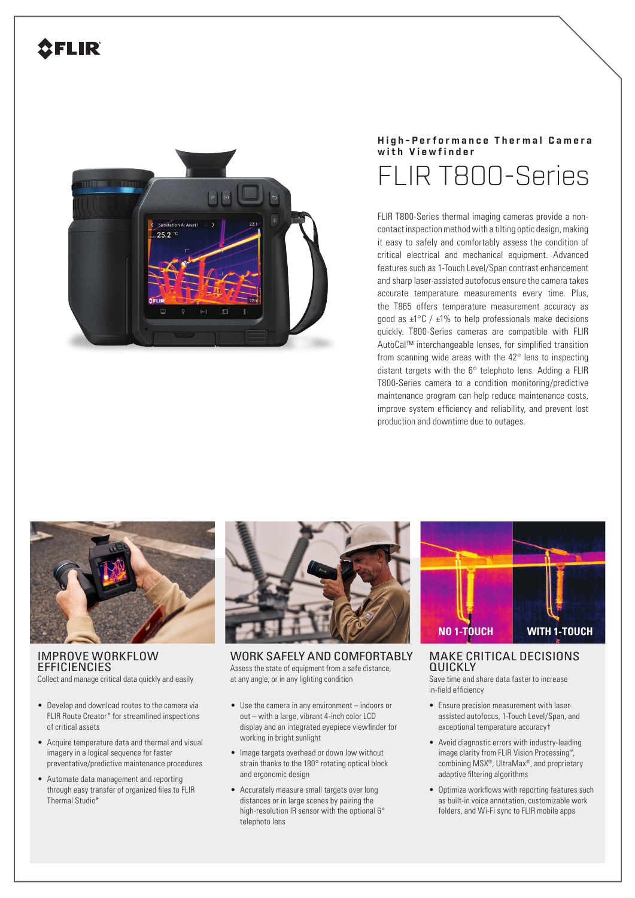## **2FLIR**



## **High-Performance Thermal Camera with Viewfinder** FLIR T800-Series

FLIR T800-Series thermal imaging cameras provide a noncontact inspection method with a tilting optic design, making it easy to safely and comfortably assess the condition of critical electrical and mechanical equipment. Advanced features such as 1-Touch Level/Span contrast enhancement and sharp laser-assisted autofocus ensure the camera takes accurate temperature measurements every time. Plus, the T865 offers temperature measurement accuracy as good as  $\pm$ 1°C /  $\pm$ 1% to help professionals make decisions quickly. T800-Series cameras are compatible with FLIR AutoCal™ interchangeable lenses, for simplified transition from scanning wide areas with the 42° lens to inspecting distant targets with the 6° telephoto lens. Adding a FLIR T800-Series camera to a condition monitoring/predictive maintenance program can help reduce maintenance costs, improve system efficiency and reliability, and prevent lost production and downtime due to outages.



IMPROVE WORKFLOW **EFFICIENCIES** Collect and manage critical data quickly and easily

- Develop and download routes to the camera via FLIR Route Creator\* for streamlined inspections of critical assets
- Acquire temperature data and thermal and visual imagery in a logical sequence for faster preventative/predictive maintenance procedures
- Automate data management and reporting through easy transfer of organized files to FLIR Thermal Studio\*



WORK SAFELY AND COMFORTABLY Assess the state of equipment from a safe distance, at any angle, or in any lighting condition

- Use the camera in any environment indoors or out – with a large, vibrant 4-inch color LCD display and an integrated eyepiece viewfinder for working in bright sunlight
- Image targets overhead or down low without strain thanks to the 180° rotating optical block and ergonomic design
- Accurately measure small targets over long distances or in large scenes by pairing the high-resolution IR sensor with the optional 6° telephoto lens



MAKE CRITICAL DECISIONS QUICKLY

Save time and share data faster to increase in-field efficiency

- Ensure precision measurement with laserassisted autofocus, 1-Touch Level/Span, and exceptional temperature accuracy†
- Avoid diagnostic errors with industry-leading image clarity from FLIR Vision Processing™, combining MSX®, UltraMax®, and proprietary adaptive filtering algorithms
- Optimize workflows with reporting features such as built-in voice annotation, customizable work folders, and Wi-Fi sync to FLIR mobile apps